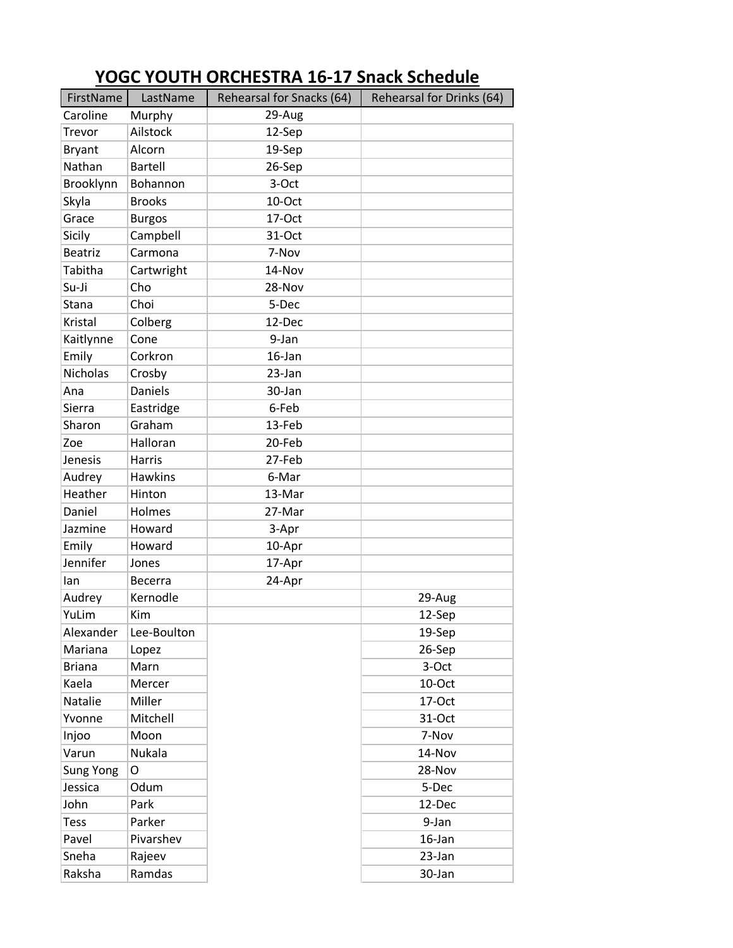| FirstName        | LastName       | Rehearsal for Snacks (64) | Rehearsal for Drinks (64) |
|------------------|----------------|---------------------------|---------------------------|
| Caroline         | Murphy         | 29-Aug                    |                           |
| Trevor           | Ailstock       | 12-Sep                    |                           |
| <b>Bryant</b>    | Alcorn         | 19-Sep                    |                           |
| Nathan           | <b>Bartell</b> | 26-Sep                    |                           |
| Brooklynn        | Bohannon       | 3-Oct                     |                           |
| Skyla            | <b>Brooks</b>  | 10-Oct                    |                           |
| Grace            | <b>Burgos</b>  | 17-Oct                    |                           |
| Sicily           | Campbell       | 31-Oct                    |                           |
| <b>Beatriz</b>   | Carmona        | 7-Nov                     |                           |
| Tabitha          | Cartwright     | 14-Nov                    |                           |
| Su-Ji            | Cho            | 28-Nov                    |                           |
| Stana            | Choi           | 5-Dec                     |                           |
| Kristal          | Colberg        | 12-Dec                    |                           |
| Kaitlynne        | Cone           | 9-Jan                     |                           |
| Emily            | Corkron        | 16-Jan                    |                           |
| <b>Nicholas</b>  | Crosby         | 23-Jan                    |                           |
| Ana              | <b>Daniels</b> | 30-Jan                    |                           |
| <b>Sierra</b>    | Eastridge      | 6-Feb                     |                           |
| Sharon           | Graham         | 13-Feb                    |                           |
| Zoe              | Halloran       | 20-Feb                    |                           |
| Jenesis          | Harris         | 27-Feb                    |                           |
| Audrey           | <b>Hawkins</b> | 6-Mar                     |                           |
| Heather          | Hinton         | 13-Mar                    |                           |
| Daniel           | Holmes         | 27-Mar                    |                           |
| Jazmine          | Howard         | 3-Apr                     |                           |
| Emily            | Howard         | 10-Apr                    |                           |
| Jennifer         | Jones          | 17-Apr                    |                           |
| lan              | <b>Becerra</b> | 24-Apr                    |                           |
| Audrey           | Kernodle       |                           | 29-Aug                    |
| YuLim            | Kim            |                           | 12-Sep                    |
| Alexander        | Lee-Boulton    |                           | 19-Sep                    |
| Mariana          | Lopez          |                           | 26-Sep                    |
| <b>Briana</b>    | Marn           |                           | 3-Oct                     |
| Kaela            | Mercer         |                           | 10-Oct                    |
| Natalie          | Miller         |                           | 17-Oct                    |
| Yvonne           | Mitchell       |                           | 31-Oct                    |
| Injoo            | Moon           |                           | 7-Nov                     |
| Varun            | Nukala         |                           | 14-Nov                    |
| <b>Sung Yong</b> | O              |                           | 28-Nov                    |
| Jessica          | Odum           |                           | 5-Dec                     |
| John             | Park           |                           | 12-Dec                    |
| Tess             | Parker         |                           | 9-Jan                     |
| Pavel            | Pivarshev      |                           | 16-Jan                    |
| Sneha            | Rajeev         |                           | 23-Jan                    |
| Raksha           | Ramdas         |                           | 30-Jan                    |

## **YOGC YOUTH ORCHESTRA 16-17 Snack Schedule**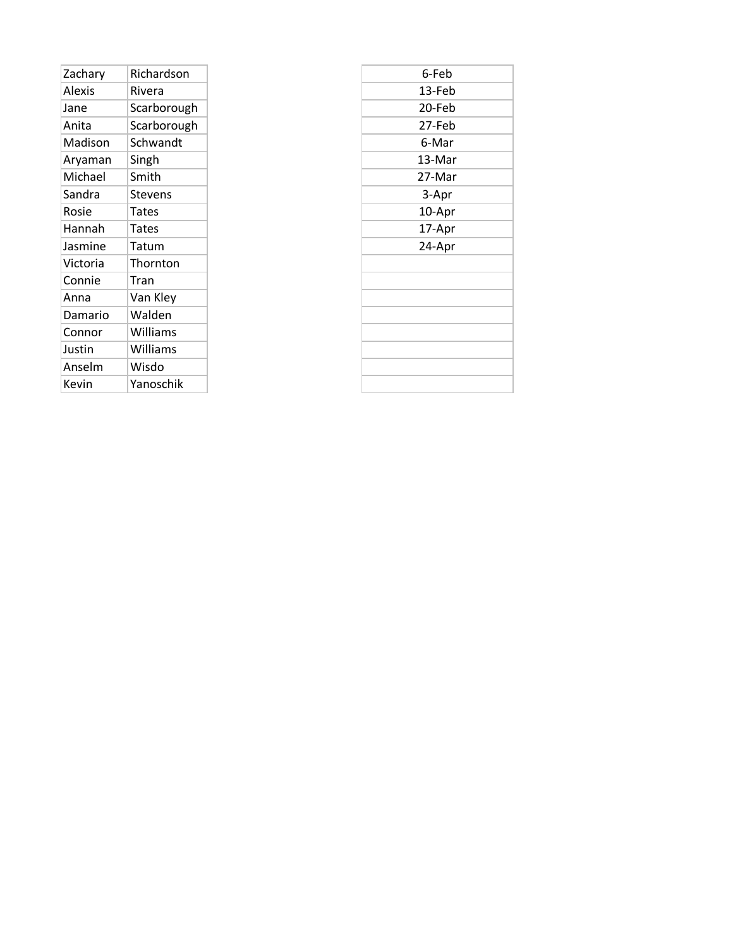| Zachary  | Richardson     |
|----------|----------------|
| Alexis   | Rivera         |
| Jane     | Scarborough    |
| Anita    | Scarborough    |
| Madison  | Schwandt       |
| Aryaman  | Singh          |
| Michael  | Smith          |
| Sandra   | <b>Stevens</b> |
| Rosie    | Tates          |
| Hannah   | <b>Tates</b>   |
| Jasmine  | Tatum          |
| Victoria | Thornton       |
| Connie   | Tran           |
| Anna     | Van Kley       |
| Damario  | Walden         |
| Connor   | Williams       |
| Justin   | Williams       |
| Anselm   | Wisdo          |
| Kevin    | Yanoschik      |
|          |                |

| 6-Feb  |
|--------|
| 13-Feb |
| 20-Feb |
| 27-Feb |
| 6-Mar  |
| 13-Mar |
| 27-Mar |
| 3-Apr  |
| 10-Apr |
| 17-Apr |
| 24-Apr |
|        |
|        |
|        |
|        |
|        |
|        |
|        |
|        |
|        |

L.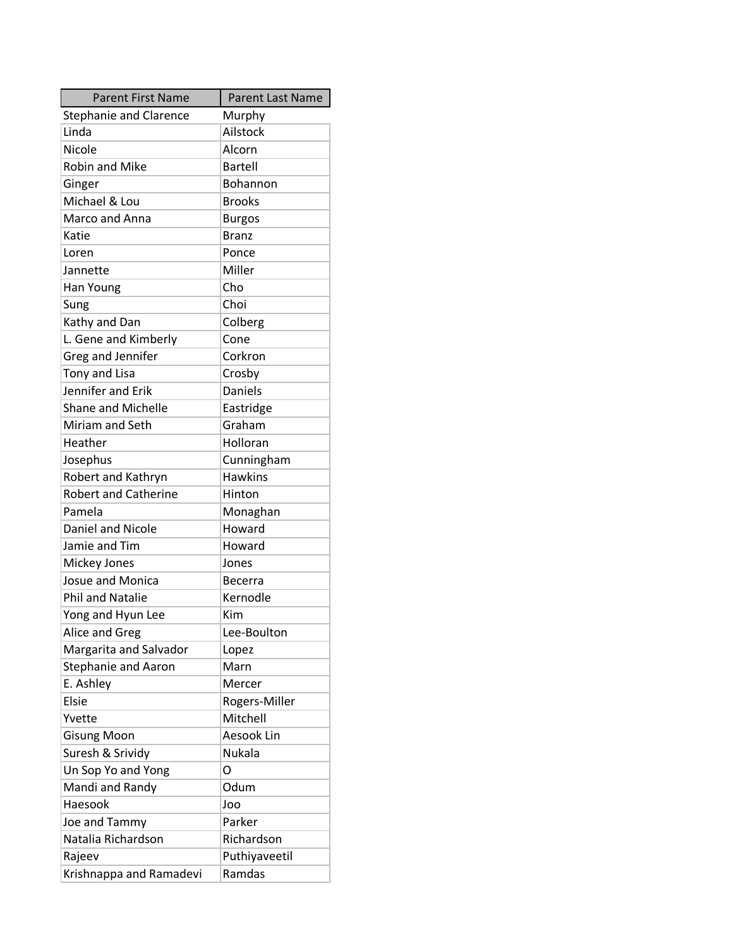| <b>Parent First Name</b>      | Parent Last Name |
|-------------------------------|------------------|
| <b>Stephanie and Clarence</b> | Murphy           |
| Linda                         | Ailstock         |
| Nicole                        | Alcorn           |
| <b>Robin and Mike</b>         | Bartell          |
| Ginger                        | Bohannon         |
| Michael & Lou                 | <b>Brooks</b>    |
| Marco and Anna                | <b>Burgos</b>    |
| Katie                         | <b>Branz</b>     |
| Loren                         | Ponce            |
| Jannette                      | Miller           |
| Han Young                     | Cho              |
| Sung                          | Choi             |
| Kathy and Dan                 | Colberg          |
| L. Gene and Kimberly          | Cone             |
| Greg and Jennifer             | Corkron          |
| Tony and Lisa                 | Crosby           |
| Jennifer and Erik             | <b>Daniels</b>   |
| <b>Shane and Michelle</b>     | Eastridge        |
| Miriam and Seth               | Graham           |
| Heather                       | Holloran         |
| Josephus                      | Cunningham       |
| Robert and Kathryn            | <b>Hawkins</b>   |
| <b>Robert and Catherine</b>   | Hinton           |
| Pamela                        | Monaghan         |
| Daniel and Nicole             | Howard           |
| Jamie and Tim                 | Howard           |
| Mickey Jones                  | Jones            |
| <b>Josue and Monica</b>       | <b>Becerra</b>   |
| <b>Phil and Natalie</b>       | Kernodle         |
| Yong and Hyun Lee             | Kim              |
| Alice and Greg                | Lee-Boulton      |
| Margarita and Salvador        | Lopez            |
| <b>Stephanie and Aaron</b>    | Marn             |
| E. Ashley                     | Mercer           |
| Elsie                         | Rogers-Miller    |
| Yvette                        | Mitchell         |
| <b>Gisung Moon</b>            | Aesook Lin       |
| Suresh & Srividy              | Nukala           |
| Un Sop Yo and Yong            | O                |
| Mandi and Randy               | Odum             |
| Haesook                       | Joo              |
| Joe and Tammy                 | Parker           |
| Natalia Richardson            | Richardson       |
| Rajeev                        | Puthiyaveetil    |
| Krishnappa and Ramadevi       | Ramdas           |